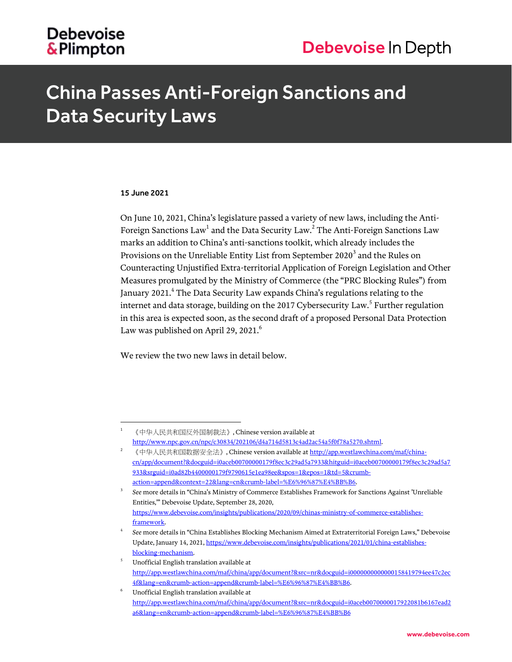# **Debevoise** &Plimpton

# China Passes Anti-Foreign Sanctions and Data Security Laws

# 15 June 2021

l

On June 10, 2021, China's legislature passed a variety of new laws, including the Anti-Foreign Sanctions Law $^{\rm l}$  and the Data Security Law. $^{\rm 2}$  The Anti-Foreign Sanctions Law marks an addition to China's anti-sanctions toolkit, which already includes the Provisions on the Unreliable Entity List from September 2020 $^3$  and the Rules on Counteracting Unjustified Extra-territorial Application of Foreign Legislation and Other Measures promulgated by the Ministry of Commerce (the "PRC Blocking Rules") from January 2021. $^4$  The Data Security Law expands China's regulations relating to the internet and data storage, building on the 2017 Cybersecurity  $\mathtt{Law}^5$  Further regulation in this area is expected soon, as the second draft of a proposed Personal Data Protection Law was published on April 29, 2021.<sup>6</sup>

We review the two new laws in detail below.

<sup>1</sup> 《中华人民共和国反外国制裁法》, Chinese version available at [http://www.npc.gov.cn/npc/c30834/202106/d4a714d5813c4ad2ac54a5f0f78a5270.shtml.](http://www.npc.gov.cn/npc/c30834/202106/d4a714d5813c4ad2ac54a5f0f78a5270.shtml)

<sup>《</sup>中华人民共和国数据安全法》, Chinese version available a[t http://app.westlawchina.com/maf/china](http://app.westlawchina.com/maf/china-cn/app/document?&docguid=i0aceb00700000179f8ec3c29ad5a7933&hitguid=i0aceb00700000179f8ec3c29ad5a7933&srguid=i0ad82b4400000179f9790615e1ea98ee&spos=1&epos=1&td=5&crumb-action=append&context=22&lang=cn&crumb-label=%E6%96%87%E4%BB%B6)[cn/app/document?&docguid=i0aceb00700000179f8ec3c29ad5a7933&hitguid=i0aceb00700000179f8ec3c29ad5a7](http://app.westlawchina.com/maf/china-cn/app/document?&docguid=i0aceb00700000179f8ec3c29ad5a7933&hitguid=i0aceb00700000179f8ec3c29ad5a7933&srguid=i0ad82b4400000179f9790615e1ea98ee&spos=1&epos=1&td=5&crumb-action=append&context=22&lang=cn&crumb-label=%E6%96%87%E4%BB%B6) [933&srguid=i0ad82b4400000179f9790615e1ea98ee&spos=1&epos=1&td=5&crumb](http://app.westlawchina.com/maf/china-cn/app/document?&docguid=i0aceb00700000179f8ec3c29ad5a7933&hitguid=i0aceb00700000179f8ec3c29ad5a7933&srguid=i0ad82b4400000179f9790615e1ea98ee&spos=1&epos=1&td=5&crumb-action=append&context=22&lang=cn&crumb-label=%E6%96%87%E4%BB%B6)[action=append&context=22&lang=cn&crumb-label=%E6%96%87%E4%BB%B6.](http://app.westlawchina.com/maf/china-cn/app/document?&docguid=i0aceb00700000179f8ec3c29ad5a7933&hitguid=i0aceb00700000179f8ec3c29ad5a7933&srguid=i0ad82b4400000179f9790615e1ea98ee&spos=1&epos=1&td=5&crumb-action=append&context=22&lang=cn&crumb-label=%E6%96%87%E4%BB%B6)

<sup>3</sup> *See* more details in "China's Ministry of Commerce Establishes Framework for Sanctions Against 'Unreliable Entities,'" Debevoise Update, September 28, 2020, [https://www.debevoise.com/insights/publications/2020/09/chinas-ministry-of-commerce-establishes](https://www.debevoise.com/insights/publications/2020/09/chinas-ministry-of-commerce-establishes-framework)[framework.](https://www.debevoise.com/insights/publications/2020/09/chinas-ministry-of-commerce-establishes-framework)

<sup>4</sup> *See* more details in "China Establishes Blocking Mechanism Aimed at Extraterritorial Foreign Laws," Debevoise Update, January 14, 2021[, https://www.debevoise.com/insights/publications/2021/01/china-establishes](https://www.debevoise.com/insights/publications/2021/01/china-establishes-blocking-mechanism)[blocking-mechanism.](https://www.debevoise.com/insights/publications/2021/01/china-establishes-blocking-mechanism)

<sup>5</sup> Unofficial English translation available at [http://app.westlawchina.com/maf/china/app/document?&src=nr&docguid=i0000000000000158419794ee47c2ec](http://app.westlawchina.com/maf/china/app/document?&src=nr&docguid=i0000000000000158419794ee47c2ec4f&lang=en&crumb-action=append&crumb-label=%E6%96%87%E4%BB%B6) [4f&lang=en&crumb-action=append&crumb-label=%E6%96%87%E4%BB%B6.](http://app.westlawchina.com/maf/china/app/document?&src=nr&docguid=i0000000000000158419794ee47c2ec4f&lang=en&crumb-action=append&crumb-label=%E6%96%87%E4%BB%B6)

Unofficial English translation available at [http://app.westlawchina.com/maf/china/app/document?&src=nr&docguid=i0aceb0070000017922081b6167ead2](http://app.westlawchina.com/maf/china/app/document?&src=nr&docguid=i0aceb0070000017922081b6167ead2a6&lang=en&crumb-action=append&crumb-label=%E6%96%87%E4%BB%B6) [a6&lang=en&crumb-action=append&crumb-label=%E6%96%87%E4%BB%B6](http://app.westlawchina.com/maf/china/app/document?&src=nr&docguid=i0aceb0070000017922081b6167ead2a6&lang=en&crumb-action=append&crumb-label=%E6%96%87%E4%BB%B6)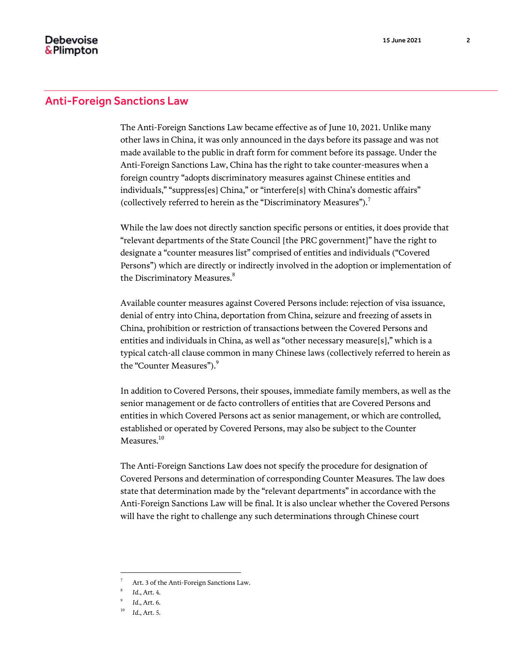The Anti-Foreign Sanctions Law became effective as of June 10, 2021. Unlike many other laws in China, it was only announced in the days before its passage and was not made available to the public in draft form for comment before its passage. Under the Anti-Foreign Sanctions Law, China has the right to take counter-measures when a foreign country "adopts discriminatory measures against Chinese entities and individuals," "suppress[es] China," or "interfere[s] with China's domestic affairs" (collectively referred to herein as the "Discriminatory Measures").<sup>7</sup>

While the law does not directly sanction specific persons or entities, it does provide that "relevant departments of the State Council [the PRC government]" have the right to designate a "counter measures list" comprised of entities and individuals ("Covered Persons") which are directly or indirectly involved in the adoption or implementation of the Discriminatory Measures.<sup>8</sup>

Available counter measures against Covered Persons include: rejection of visa issuance, denial of entry into China, deportation from China, seizure and freezing of assets in China, prohibition or restriction of transactions between the Covered Persons and entities and individuals in China, as well as "other necessary measure[s]," which is a typical catch-all clause common in many Chinese laws (collectively referred to herein as the "Counter Measures").<sup>9</sup>

In addition to Covered Persons, their spouses, immediate family members, as well as the senior management or de facto controllers of entities that are Covered Persons and entities in which Covered Persons act as senior management, or which are controlled, established or operated by Covered Persons, may also be subject to the Counter Measures.<sup>10</sup>

The Anti-Foreign Sanctions Law does not specify the procedure for designation of Covered Persons and determination of corresponding Counter Measures. The law does state that determination made by the "relevant departments" in accordance with the Anti-Foreign Sanctions Law will be final. It is also unclear whether the Covered Persons will have the right to challenge any such determinations through Chinese court

l

Art. 3 of the Anti-Foreign Sanctions Law.

<sup>8</sup> *Id.*, Art. 4.

<sup>9</sup> *Id.*, Art. 6.

<sup>10</sup> *Id.*, Art. 5.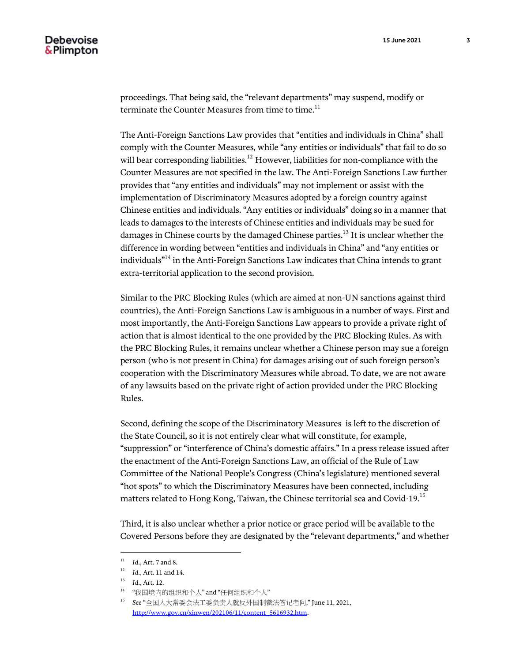proceedings. That being said, the "relevant departments" may suspend, modify or terminate the Counter Measures from time to time.<sup>11</sup>

The Anti-Foreign Sanctions Law provides that "entities and individuals in China" shall comply with the Counter Measures, while "any entities or individuals" that fail to do so will bear corresponding liabilities.<sup>12</sup> However, liabilities for non-compliance with the Counter Measures are not specified in the law. The Anti-Foreign Sanctions Law further provides that "any entities and individuals" may not implement or assist with the implementation of Discriminatory Measures adopted by a foreign country against Chinese entities and individuals. "Any entities or individuals" doing so in a manner that leads to damages to the interests of Chinese entities and individuals may be sued for damages in Chinese courts by the damaged Chinese parties.<sup>13</sup> It is unclear whether the difference in wording between "entities and individuals in China" and "any entities or individuals"<sup>14</sup> in the Anti-Foreign Sanctions Law indicates that China intends to grant extra-territorial application to the second provision.

Similar to the PRC Blocking Rules (which are aimed at non-UN sanctions against third countries), the Anti-Foreign Sanctions Law is ambiguous in a number of ways. First and most importantly, the Anti-Foreign Sanctions Law appears to provide a private right of action that is almost identical to the one provided by the PRC Blocking Rules. As with the PRC Blocking Rules, it remains unclear whether a Chinese person may sue a foreign person (who is not present in China) for damages arising out of such foreign person's cooperation with the Discriminatory Measures while abroad. To date, we are not aware of any lawsuits based on the private right of action provided under the PRC Blocking Rules.

Second, defining the scope of the Discriminatory Measures is left to the discretion of the State Council, so it is not entirely clear what will constitute, for example, "suppression" or "interference of China's domestic affairs." In a press release issued after the enactment of the Anti-Foreign Sanctions Law, an official of the Rule of Law Committee of the National People's Congress (China's legislature) mentioned several "hot spots" to which the Discriminatory Measures have been connected, including matters related to Hong Kong, Taiwan, the Chinese territorial sea and Covid-19.<sup>15</sup>

Third, it is also unclear whether a prior notice or grace period will be available to the Covered Persons before they are designated by the "relevant departments," and whether

l

<sup>11</sup> *Id.*, Art. 7 and 8.

<sup>12</sup> *Id.*, Art. 11 and 14.

<sup>13</sup> *Id.*, Art. 12.

<sup>14</sup> "我国境内的组织和个人" and "任何组织和个人"

<sup>15</sup> *See* "全国人大常委会法工委负责人就反外国制裁法答记者问," June 11, 2021, [http://www.gov.cn/xinwen/202106/11/content\\_5616932.htm.](http://www.gov.cn/xinwen/202106/11/content_5616932.htm)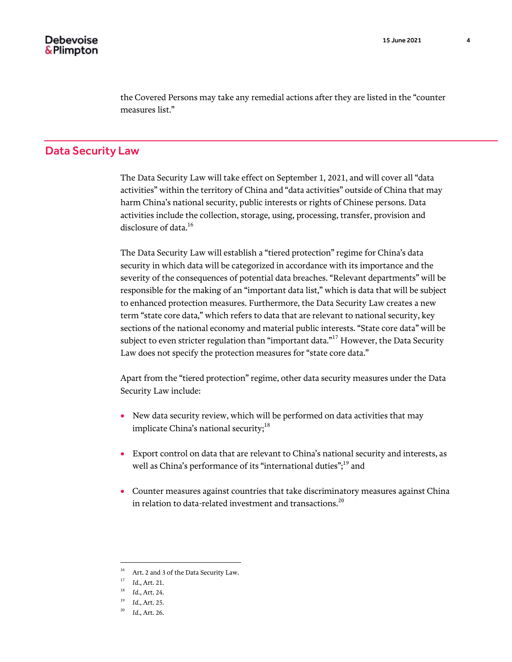the Covered Persons may take any remedial actions after they are listed in the "counter measures list."

# Data Security Law

The Data Security Law will take effect on September 1, 2021, and will cover all "data activities" within the territory of China and "data activities" outside of China that may harm China's national security, public interests or rights of Chinese persons. Data activities include the collection, storage, using, processing, transfer, provision and disclosure of data.<sup>16</sup>

The Data Security Law will establish a "tiered protection" regime for China's data security in which data will be categorized in accordance with its importance and the severity of the consequences of potential data breaches. "Relevant departments" will be responsible for the making of an "important data list," which is data that will be subject to enhanced protection measures. Furthermore, the Data Security Law creates a new term "state core data," which refers to data that are relevant to national security, key sections of the national economy and material public interests. "State core data" will be subject to even stricter regulation than "important data."<sup>17</sup> However, the Data Security Law does not specify the protection measures for "state core data."

Apart from the "tiered protection" regime, other data security measures under the Data Security Law include:

- New data security review, which will be performed on data activities that may implicate China's national security; $^{18}$
- Export control on data that are relevant to China's national security and interests, as well as China's performance of its "international duties";<sup>19</sup> and
- Counter measures against countries that take discriminatory measures against China in relation to data-related investment and transactions.<sup>20</sup>

l

 $^{16}$  Art. 2 and 3 of the Data Security Law.

<sup>17</sup> *Id.*, Art. 21.

<sup>18</sup> *Id.*, Art. 24.

<sup>19</sup> *Id.*, Art. 25.

<sup>20</sup> *Id.*, Art. 26.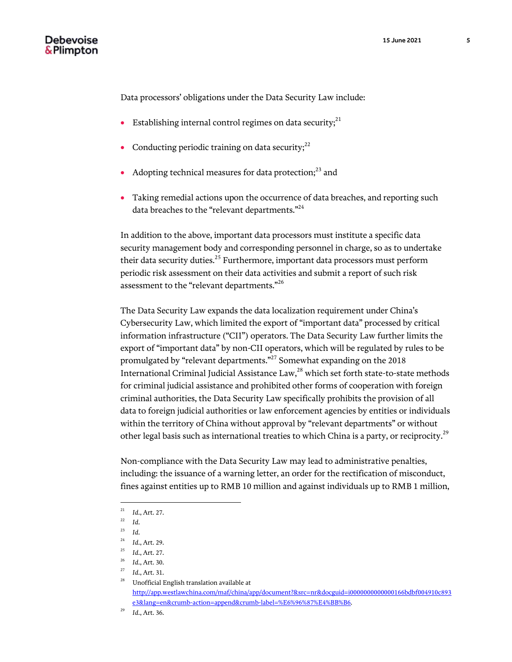Data processors' obligations under the Data Security Law include:

- Establishing internal control regimes on data security; $^{21}$
- Conducting periodic training on data security; $^{22}$
- Adopting technical measures for data protection; $^{23}$  and
- Taking remedial actions upon the occurrence of data breaches, and reporting such data breaches to the "relevant departments."<sup>24</sup>

In addition to the above, important data processors must institute a specific data security management body and corresponding personnel in charge, so as to undertake their data security duties.<sup>25</sup> Furthermore, important data processors must perform periodic risk assessment on their data activities and submit a report of such risk assessment to the "relevant departments."<sup>26</sup>

The Data Security Law expands the data localization requirement under China's Cybersecurity Law, which limited the export of "important data" processed by critical information infrastructure ("CII") operators. The Data Security Law further limits the export of "important data" by non-CII operators, which will be regulated by rules to be promulgated by "relevant departments."<sup>27</sup> Somewhat expanding on the 2018 International Criminal Judicial Assistance Law,<sup>28</sup> which set forth state-to-state methods for criminal judicial assistance and prohibited other forms of cooperation with foreign criminal authorities, the Data Security Law specifically prohibits the provision of all data to foreign judicial authorities or law enforcement agencies by entities or individuals within the territory of China without approval by "relevant departments" or without other legal basis such as international treaties to which China is a party, or reciprocity.<sup>29</sup>

Non-compliance with the Data Security Law may lead to administrative penalties, including: the issuance of a warning letter, an order for the rectification of misconduct, fines against entities up to RMB 10 million and against individuals up to RMB 1 million,

 $\overline{a}$ 

<sup>21</sup> *Id.*, Art. 27.

<sup>22</sup> *Id.*

<sup>23</sup> *Id.*

<sup>24</sup> *Id.*, Art. 29.

<sup>25</sup> *Id.*, Art. 27.

<sup>26</sup> *Id.*, Art. 30.

<sup>27</sup> *Id.*, Art. 31.

 $^{\rm 28}$  – Unofficial English translation available at [http://app.westlawchina.com/maf/china/app/document?&src=nr&docguid=i0000000000000166bdbf004910c893](http://app.westlawchina.com/maf/china/app/document?&src=nr&docguid=i0000000000000166bdbf004910c893e3&lang=en&crumb-action=append&crumb-label=%E6%96%87%E4%BB%B6) [e3&lang=en&crumb-action=append&crumb-label=%E6%96%87%E4%BB%B6.](http://app.westlawchina.com/maf/china/app/document?&src=nr&docguid=i0000000000000166bdbf004910c893e3&lang=en&crumb-action=append&crumb-label=%E6%96%87%E4%BB%B6)

<sup>29</sup> *Id.*, Art. 36.